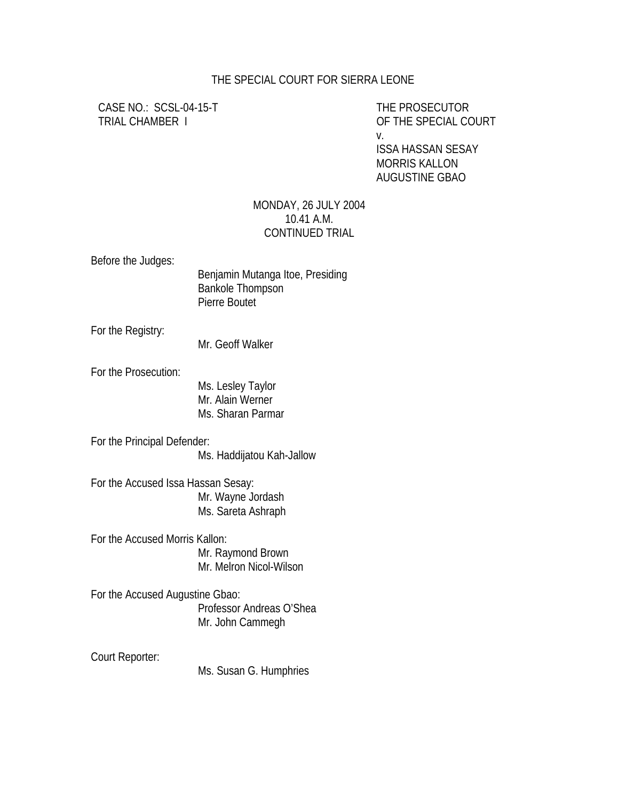## THE SPECIAL COURT FOR SIERRA LEONE

CASE NO.: SCSL-04-15-T THE PROSECUTOR

TRIAL CHAMBER I OF THE SPECIAL COURT v. ISSA HASSAN SESAY MORRIS KALLON AUGUSTINE GBAO

## MONDAY, 26 JULY 2004 10.41 A.M. CONTINUED TRIAL

Before the Judges:

 Benjamin Mutanga Itoe, Presiding Bankole Thompson Pierre Boutet

For the Registry:

Mr. Geoff Walker

For the Prosecution:

Ms. Lesley Taylor Mr. Alain Werner Ms. Sharan Parmar

For the Principal Defender: Ms. Haddijatou Kah-Jallow

For the Accused Issa Hassan Sesay: Mr. Wayne Jordash Ms. Sareta Ashraph

For the Accused Morris Kallon: Mr. Raymond Brown Mr. Melron Nicol-Wilson

For the Accused Augustine Gbao: Professor Andreas O'Shea Mr. John Cammegh

Court Reporter:

Ms. Susan G. Humphries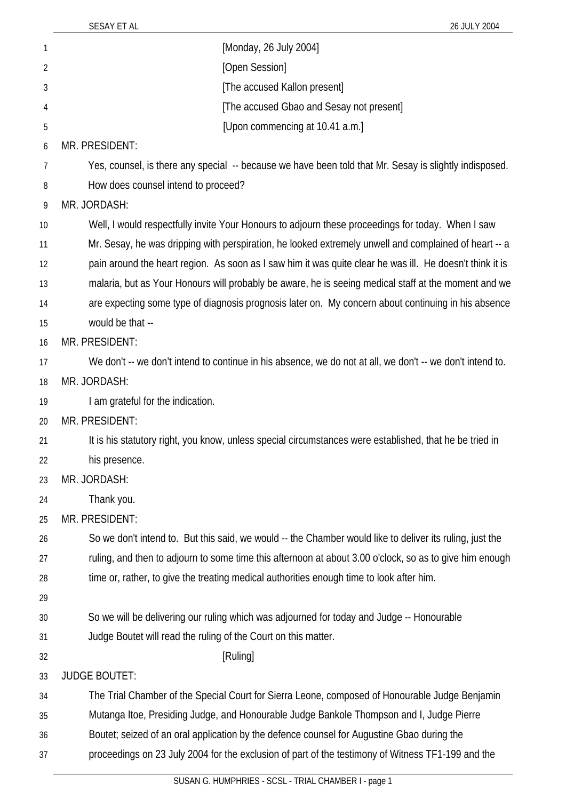SESAY ET AL 26 JULY 2004

| 1  | [Monday, 26 July 2004]                                                                                    |
|----|-----------------------------------------------------------------------------------------------------------|
| 2  | [Open Session]                                                                                            |
| 3  | [The accused Kallon present]                                                                              |
| 4  | [The accused Gbao and Sesay not present]                                                                  |
| 5  | [Upon commencing at 10.41 a.m.]                                                                           |
| 6  | MR. PRESIDENT:                                                                                            |
| 7  | Yes, counsel, is there any special -- because we have been told that Mr. Sesay is slightly indisposed.    |
| 8  | How does counsel intend to proceed?                                                                       |
| 9  | MR. JORDASH:                                                                                              |
| 10 | Well, I would respectfully invite Your Honours to adjourn these proceedings for today. When I saw         |
| 11 | Mr. Sesay, he was dripping with perspiration, he looked extremely unwell and complained of heart -- a     |
| 12 | pain around the heart region. As soon as I saw him it was quite clear he was ill. He doesn't think it is  |
| 13 | malaria, but as Your Honours will probably be aware, he is seeing medical staff at the moment and we      |
| 14 | are expecting some type of diagnosis prognosis later on. My concern about continuing in his absence       |
| 15 | would be that --                                                                                          |
| 16 | MR. PRESIDENT:                                                                                            |
| 17 | We don't -- we don't intend to continue in his absence, we do not at all, we don't -- we don't intend to. |
| 18 | MR. JORDASH:                                                                                              |
| 19 | I am grateful for the indication.                                                                         |
| 20 | MR. PRESIDENT:                                                                                            |
| 21 | It is his statutory right, you know, unless special circumstances were established, that he be tried in   |
| 22 | his presence.                                                                                             |
| 23 | MR. JORDASH:                                                                                              |
| 24 | Thank you.                                                                                                |
| 25 | MR. PRESIDENT:                                                                                            |
| 26 | So we don't intend to. But this said, we would -- the Chamber would like to deliver its ruling, just the  |
| 27 | ruling, and then to adjourn to some time this afternoon at about 3.00 o'clock, so as to give him enough   |
| 28 | time or, rather, to give the treating medical authorities enough time to look after him.                  |
| 29 |                                                                                                           |
| 30 | So we will be delivering our ruling which was adjourned for today and Judge -- Honourable                 |
| 31 | Judge Boutet will read the ruling of the Court on this matter.                                            |
| 32 | [Ruling]                                                                                                  |
| 33 | <b>JUDGE BOUTET:</b>                                                                                      |
| 34 | The Trial Chamber of the Special Court for Sierra Leone, composed of Honourable Judge Benjamin            |
| 35 | Mutanga Itoe, Presiding Judge, and Honourable Judge Bankole Thompson and I, Judge Pierre                  |
| 36 | Boutet; seized of an oral application by the defence counsel for Augustine Gbao during the                |
| 37 | proceedings on 23 July 2004 for the exclusion of part of the testimony of Witness TF1-199 and the         |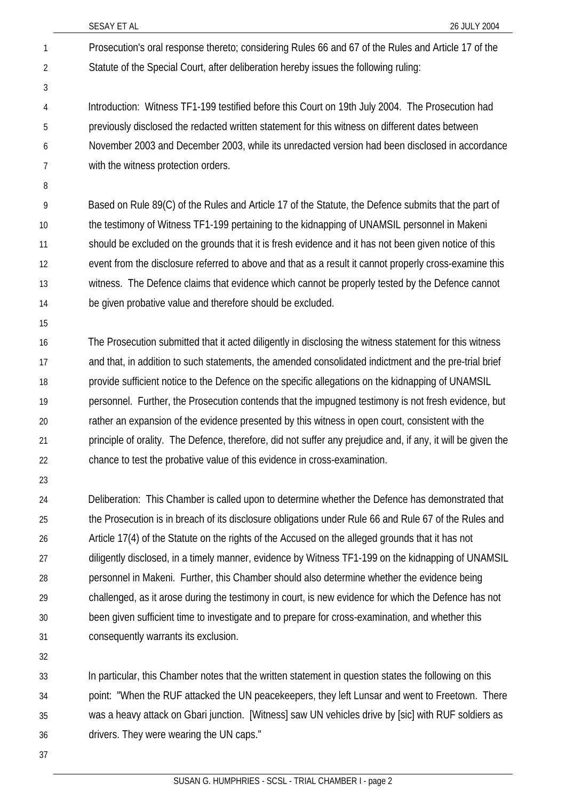|    | SESAY ET AL<br>26 JULY 2004                                                                                  |
|----|--------------------------------------------------------------------------------------------------------------|
| 1  | Prosecution's oral response thereto; considering Rules 66 and 67 of the Rules and Article 17 of the          |
| 2  | Statute of the Special Court, after deliberation hereby issues the following ruling:                         |
| 3  |                                                                                                              |
| 4  | Introduction: Witness TF1-199 testified before this Court on 19th July 2004. The Prosecution had             |
| 5  | previously disclosed the redacted written statement for this witness on different dates between              |
| 6  | November 2003 and December 2003, while its unredacted version had been disclosed in accordance               |
| 7  | with the witness protection orders.                                                                          |
| 8  |                                                                                                              |
| 9  | Based on Rule 89(C) of the Rules and Article 17 of the Statute, the Defence submits that the part of         |
| 10 | the testimony of Witness TF1-199 pertaining to the kidnapping of UNAMSIL personnel in Makeni                 |
| 11 | should be excluded on the grounds that it is fresh evidence and it has not been given notice of this         |
| 12 | event from the disclosure referred to above and that as a result it cannot properly cross-examine this       |
| 13 | witness. The Defence claims that evidence which cannot be properly tested by the Defence cannot              |
| 14 | be given probative value and therefore should be excluded.                                                   |
| 15 |                                                                                                              |
| 16 | The Prosecution submitted that it acted diligently in disclosing the witness statement for this witness      |
| 17 | and that, in addition to such statements, the amended consolidated indictment and the pre-trial brief        |
| 18 | provide sufficient notice to the Defence on the specific allegations on the kidnapping of UNAMSIL            |
| 19 | personnel. Further, the Prosecution contends that the impugned testimony is not fresh evidence, but          |
| 20 | rather an expansion of the evidence presented by this witness in open court, consistent with the             |
| 21 | principle of orality. The Defence, therefore, did not suffer any prejudice and, if any, it will be given the |
| 22 | chance to test the probative value of this evidence in cross-examination.                                    |
| 23 |                                                                                                              |
| 24 | Deliberation: This Chamber is called upon to determine whether the Defence has demonstrated that             |
| 25 | the Prosecution is in breach of its disclosure obligations under Rule 66 and Rule 67 of the Rules and        |
| 26 | Article 17(4) of the Statute on the rights of the Accused on the alleged grounds that it has not             |
| 27 | diligently disclosed, in a timely manner, evidence by Witness TF1-199 on the kidnapping of UNAMSIL           |
| 28 | personnel in Makeni. Further, this Chamber should also determine whether the evidence being                  |
| 29 | challenged, as it arose during the testimony in court, is new evidence for which the Defence has not         |
| 30 | been given sufficient time to investigate and to prepare for cross-examination, and whether this             |
| 31 | consequently warrants its exclusion.                                                                         |
| 32 |                                                                                                              |
| 33 | In particular, this Chamber notes that the written statement in question states the following on this        |
| 34 | point: "When the RUF attacked the UN peacekeepers, they left Lunsar and went to Freetown. There              |

35 36 was a heavy attack on Gbari junction. [Witness] saw UN vehicles drive by [sic] with RUF soldiers as drivers. They were wearing the UN caps."

37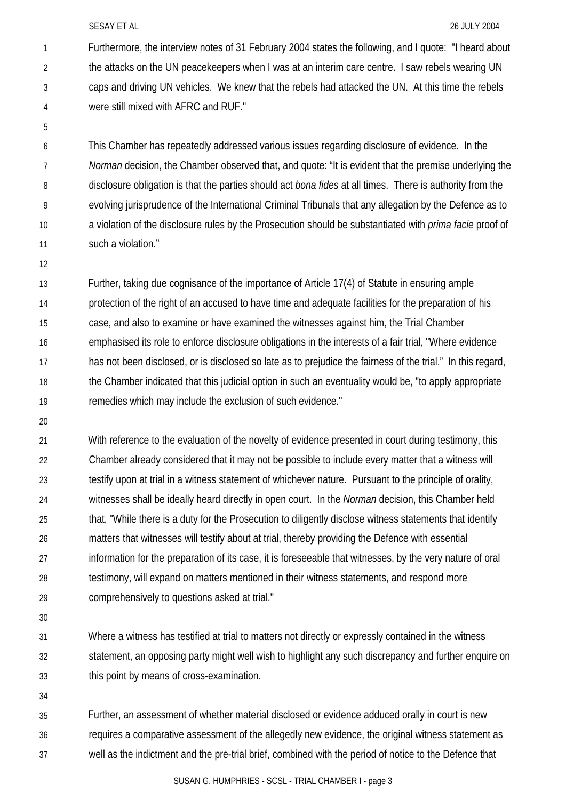Furthermore, the interview notes of 31 February 2004 states the following, and I quote: "I heard about the attacks on the UN peacekeepers when I was at an interim care centre. I saw rebels wearing UN caps and driving UN vehicles. We knew that the rebels had attacked the UN. At this time the rebels were still mixed with AFRC and RUF." 1 2 3 4

6 7 8 9 10 11 This Chamber has repeatedly addressed various issues regarding disclosure of evidence. In the *Norman* decision, the Chamber observed that, and quote: "It is evident that the premise underlying the disclosure obligation is that the parties should act *bona fides* at all times. There is authority from the evolving jurisprudence of the International Criminal Tribunals that any allegation by the Defence as to a violation of the disclosure rules by the Prosecution should be substantiated with *prima facie* proof of such a violation."

12

5

13 14 15 16 17 18 19 Further, taking due cognisance of the importance of Article 17(4) of Statute in ensuring ample protection of the right of an accused to have time and adequate facilities for the preparation of his case, and also to examine or have examined the witnesses against him, the Trial Chamber emphasised its role to enforce disclosure obligations in the interests of a fair trial, "Where evidence has not been disclosed, or is disclosed so late as to prejudice the fairness of the trial." In this regard, the Chamber indicated that this judicial option in such an eventuality would be, "to apply appropriate remedies which may include the exclusion of such evidence."

20

21 22 23 24 25 26 27 28 29 With reference to the evaluation of the novelty of evidence presented in court during testimony, this Chamber already considered that it may not be possible to include every matter that a witness will testify upon at trial in a witness statement of whichever nature. Pursuant to the principle of orality, witnesses shall be ideally heard directly in open court. In the *Norman* decision, this Chamber held that, "While there is a duty for the Prosecution to diligently disclose witness statements that identify matters that witnesses will testify about at trial, thereby providing the Defence with essential information for the preparation of its case, it is foreseeable that witnesses, by the very nature of oral testimony, will expand on matters mentioned in their witness statements, and respond more comprehensively to questions asked at trial."

30

31 32 33 Where a witness has testified at trial to matters not directly or expressly contained in the witness statement, an opposing party might well wish to highlight any such discrepancy and further enquire on this point by means of cross-examination.

34

35 36 37 Further, an assessment of whether material disclosed or evidence adduced orally in court is new requires a comparative assessment of the allegedly new evidence, the original witness statement as well as the indictment and the pre-trial brief, combined with the period of notice to the Defence that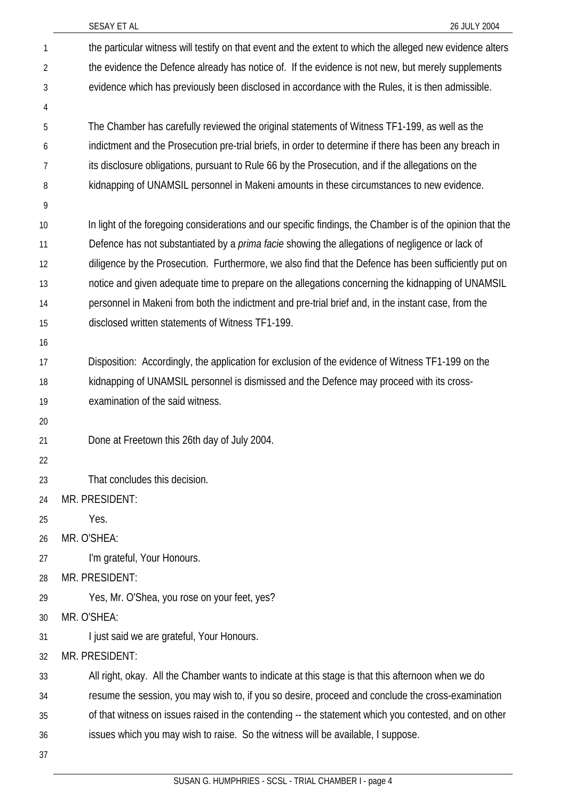|                | SESAY ET AL<br>26 JULY 2004                                                                                |
|----------------|------------------------------------------------------------------------------------------------------------|
| 1              | the particular witness will testify on that event and the extent to which the alleged new evidence alters  |
| $\overline{2}$ | the evidence the Defence already has notice of. If the evidence is not new, but merely supplements         |
| 3              | evidence which has previously been disclosed in accordance with the Rules, it is then admissible.          |
| 4              |                                                                                                            |
| 5              | The Chamber has carefully reviewed the original statements of Witness TF1-199, as well as the              |
| 6              | indictment and the Prosecution pre-trial briefs, in order to determine if there has been any breach in     |
| 7              | its disclosure obligations, pursuant to Rule 66 by the Prosecution, and if the allegations on the          |
| 8              | kidnapping of UNAMSIL personnel in Makeni amounts in these circumstances to new evidence.                  |
| 9              |                                                                                                            |
| 10             | In light of the foregoing considerations and our specific findings, the Chamber is of the opinion that the |
| 11             | Defence has not substantiated by a <i>prima facie</i> showing the allegations of negligence or lack of     |
| 12             | diligence by the Prosecution. Furthermore, we also find that the Defence has been sufficiently put on      |
| 13             | notice and given adequate time to prepare on the allegations concerning the kidnapping of UNAMSIL          |
| 14             | personnel in Makeni from both the indictment and pre-trial brief and, in the instant case, from the        |
| 15             | disclosed written statements of Witness TF1-199.                                                           |
| 16             |                                                                                                            |
| 17             | Disposition: Accordingly, the application for exclusion of the evidence of Witness TF1-199 on the          |
| 18             | kidnapping of UNAMSIL personnel is dismissed and the Defence may proceed with its cross-                   |
| 19             | examination of the said witness.                                                                           |
| 20             |                                                                                                            |
| 21             | Done at Freetown this 26th day of July 2004.                                                               |
| 22             |                                                                                                            |
| 23             | That concludes this decision.                                                                              |
| 24             | MR. PRESIDENT:                                                                                             |
| 25             | Yes.                                                                                                       |
| 26             | MR. O'SHEA:                                                                                                |
| 27             | I'm grateful, Your Honours.                                                                                |
| 28             | MR. PRESIDENT:                                                                                             |
| 29             | Yes, Mr. O'Shea, you rose on your feet, yes?                                                               |
| 30             | MR. O'SHEA:                                                                                                |
| 31             | I just said we are grateful, Your Honours.                                                                 |
| 32             | MR. PRESIDENT:                                                                                             |
| 33             | All right, okay. All the Chamber wants to indicate at this stage is that this afternoon when we do         |
| 34             | resume the session, you may wish to, if you so desire, proceed and conclude the cross-examination          |
| 35             | of that witness on issues raised in the contending -- the statement which you contested, and on other      |
| 36             | issues which you may wish to raise. So the witness will be available, I suppose.                           |
| 37             |                                                                                                            |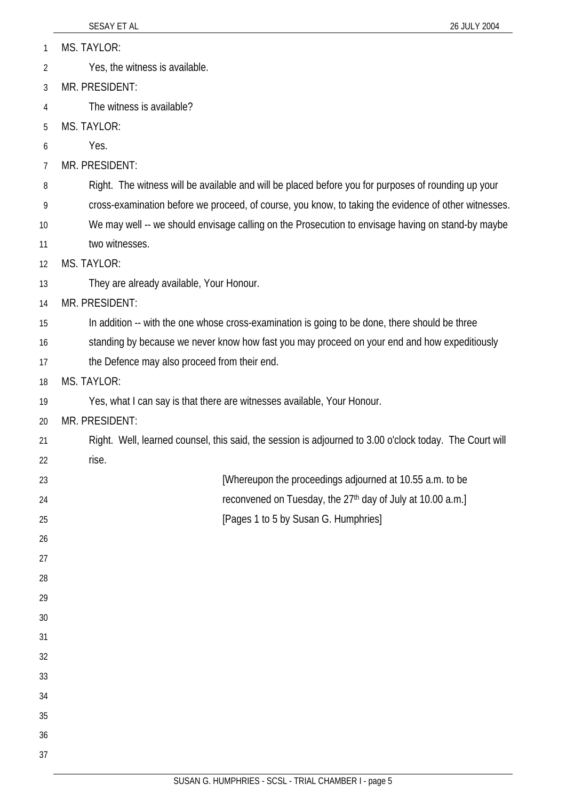MS. TAYLOR: 1

Yes, the witness is available. 2

3 MR. PRESIDENT:

4 The witness is available?

5 MS. TAYLOR:

6 Yes.

7 MR. PRESIDENT:

8 Right. The witness will be available and will be placed before you for purposes of rounding up your

9 cross-examination before we proceed, of course, you know, to taking the evidence of other witnesses.

10 11 We may well -- we should envisage calling on the Prosecution to envisage having on stand-by maybe two witnesses.

12 MS. TAYLOR:

13 They are already available, Your Honour.

14 MR. PRESIDENT:

15 In addition -- with the one whose cross-examination is going to be done, there should be three

16 standing by because we never know how fast you may proceed on your end and how expeditiously

17 the Defence may also proceed from their end.

18 MS. TAYLOR:

19 Yes, what I can say is that there are witnesses available, Your Honour.

20 MR. PRESIDENT:

21 22 Right. Well, learned counsel, this said, the session is adjourned to 3.00 o'clock today. The Court will rise.

23 24 25 [Whereupon the proceedings adjourned at 10.55 a.m. to be reconvened on Tuesday, the 27<sup>th</sup> day of July at 10.00 a.m.] [Pages 1 to 5 by Susan G. Humphries]

33 34

35

26

27

28

29

30

31

32

36

37